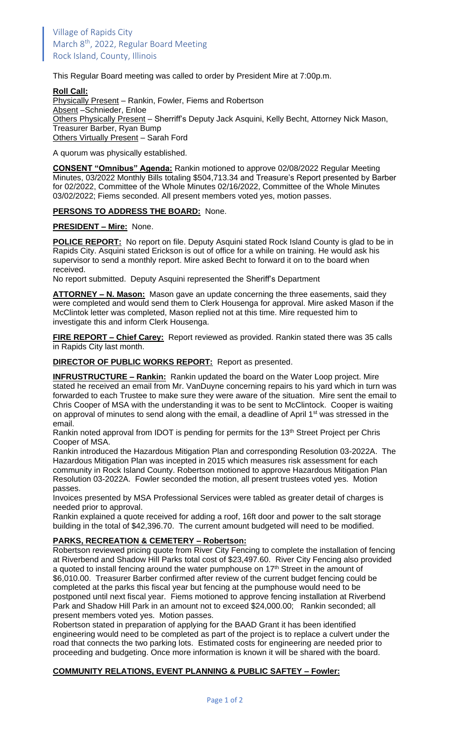This Regular Board meeting was called to order by President Mire at 7:00p.m.

#### **Roll Call:**

Physically Present - Rankin, Fowler, Fiems and Robertson Absent –Schnieder, Enloe Others Physically Present - Sherriff's Deputy Jack Asquini, Kelly Becht, Attorney Nick Mason, Treasurer Barber, Ryan Bump Others Virtually Present – Sarah Ford

A quorum was physically established.

**CONSENT "Omnibus" Agenda:** Rankin motioned to approve 02/08/2022 Regular Meeting Minutes, 03/2022 Monthly Bills totaling \$504,713.34 and Treasure's Report presented by Barber for 02/2022, Committee of the Whole Minutes 02/16/2022, Committee of the Whole Minutes 03/02/2022; Fiems seconded. All present members voted yes, motion passes.

### **PERSONS TO ADDRESS THE BOARD:** None.

### **PRESIDENT – Mire:** None.

**POLICE REPORT:** No report on file. Deputy Asquini stated Rock Island County is glad to be in Rapids City. Asquini stated Erickson is out of office for a while on training. He would ask his supervisor to send a monthly report. Mire asked Becht to forward it on to the board when received.

No report submitted. Deputy Asquini represented the Sheriff's Department

**ATTORNEY – N. Mason:** Mason gave an update concerning the three easements, said they were completed and would send them to Clerk Housenga for approval. Mire asked Mason if the McClintok letter was completed, Mason replied not at this time. Mire requested him to investigate this and inform Clerk Housenga.

**FIRE REPORT – Chief Carey:** Report reviewed as provided. Rankin stated there was 35 calls in Rapids City last month.

**DIRECTOR OF PUBLIC WORKS REPORT:** Report as presented.

**INFRUSTRUCTURE – Rankin:** Rankin updated the board on the Water Loop project. Mire stated he received an email from Mr. VanDuyne concerning repairs to his yard which in turn was forwarded to each Trustee to make sure they were aware of the situation. Mire sent the email to Chris Cooper of MSA with the understanding it was to be sent to McClintock. Cooper is waiting on approval of minutes to send along with the email, a deadline of April 1<sup>st</sup> was stressed in the email.

Rankin noted approval from IDOT is pending for permits for the 13<sup>th</sup> Street Project per Chris Cooper of MSA.

Rankin introduced the Hazardous Mitigation Plan and corresponding Resolution 03-2022A. The Hazardous Mitigation Plan was incepted in 2015 which measures risk assessment for each community in Rock Island County. Robertson motioned to approve Hazardous Mitigation Plan Resolution 03-2022A. Fowler seconded the motion, all present trustees voted yes. Motion passes.

Invoices presented by MSA Professional Services were tabled as greater detail of charges is needed prior to approval.

Rankin explained a quote received for adding a roof, 16ft door and power to the salt storage building in the total of \$42,396.70. The current amount budgeted will need to be modified.

# **PARKS, RECREATION & CEMETERY – Robertson:**

Robertson reviewed pricing quote from River City Fencing to complete the installation of fencing at Riverbend and Shadow Hill Parks total cost of \$23,497.60. River City Fencing also provided a quoted to install fencing around the water pumphouse on  $17<sup>th</sup>$  Street in the amount of \$6,010.00. Treasurer Barber confirmed after review of the current budget fencing could be completed at the parks this fiscal year but fencing at the pumphouse would need to be postponed until next fiscal year. Fiems motioned to approve fencing installation at Riverbend Park and Shadow Hill Park in an amount not to exceed \$24,000.00; Rankin seconded; all present members voted yes. Motion passes.

Robertson stated in preparation of applying for the BAAD Grant it has been identified engineering would need to be completed as part of the project is to replace a culvert under the road that connects the two parking lots. Estimated costs for engineering are needed prior to proceeding and budgeting. Once more information is known it will be shared with the board.

# **COMMUNITY RELATIONS, EVENT PLANNING & PUBLIC SAFTEY – Fowler:**